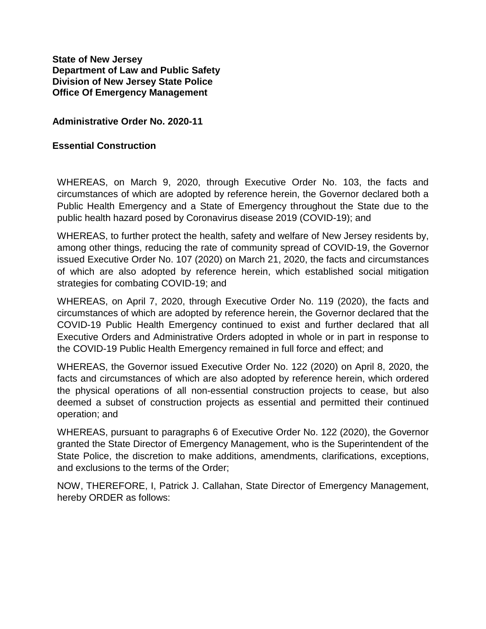**State of New Jersey Department of Law and Public Safety Division of New Jersey State Police Office Of Emergency Management**

## **Administrative Order No. 2020-11**

## **Essential Construction**

WHEREAS, on March 9, 2020, through Executive Order No. 103, the facts and circumstances of which are adopted by reference herein, the Governor declared both a Public Health Emergency and a State of Emergency throughout the State due to the public health hazard posed by Coronavirus disease 2019 (COVID-19); and

WHEREAS, to further protect the health, safety and welfare of New Jersey residents by, among other things, reducing the rate of community spread of COVID-19, the Governor issued Executive Order No. 107 (2020) on March 21, 2020, the facts and circumstances of which are also adopted by reference herein, which established social mitigation strategies for combating COVID-19; and

WHEREAS, on April 7, 2020, through Executive Order No. 119 (2020), the facts and circumstances of which are adopted by reference herein, the Governor declared that the COVID-19 Public Health Emergency continued to exist and further declared that all Executive Orders and Administrative Orders adopted in whole or in part in response to the COVID-19 Public Health Emergency remained in full force and effect; and

WHEREAS, the Governor issued Executive Order No. 122 (2020) on April 8, 2020, the facts and circumstances of which are also adopted by reference herein, which ordered the physical operations of all non-essential construction projects to cease, but also deemed a subset of construction projects as essential and permitted their continued operation; and

WHEREAS, pursuant to paragraphs 6 of Executive Order No. 122 (2020), the Governor granted the State Director of Emergency Management, who is the Superintendent of the State Police, the discretion to make additions, amendments, clarifications, exceptions, and exclusions to the terms of the Order;

NOW, THEREFORE, I, Patrick J. Callahan, State Director of Emergency Management, hereby ORDER as follows: